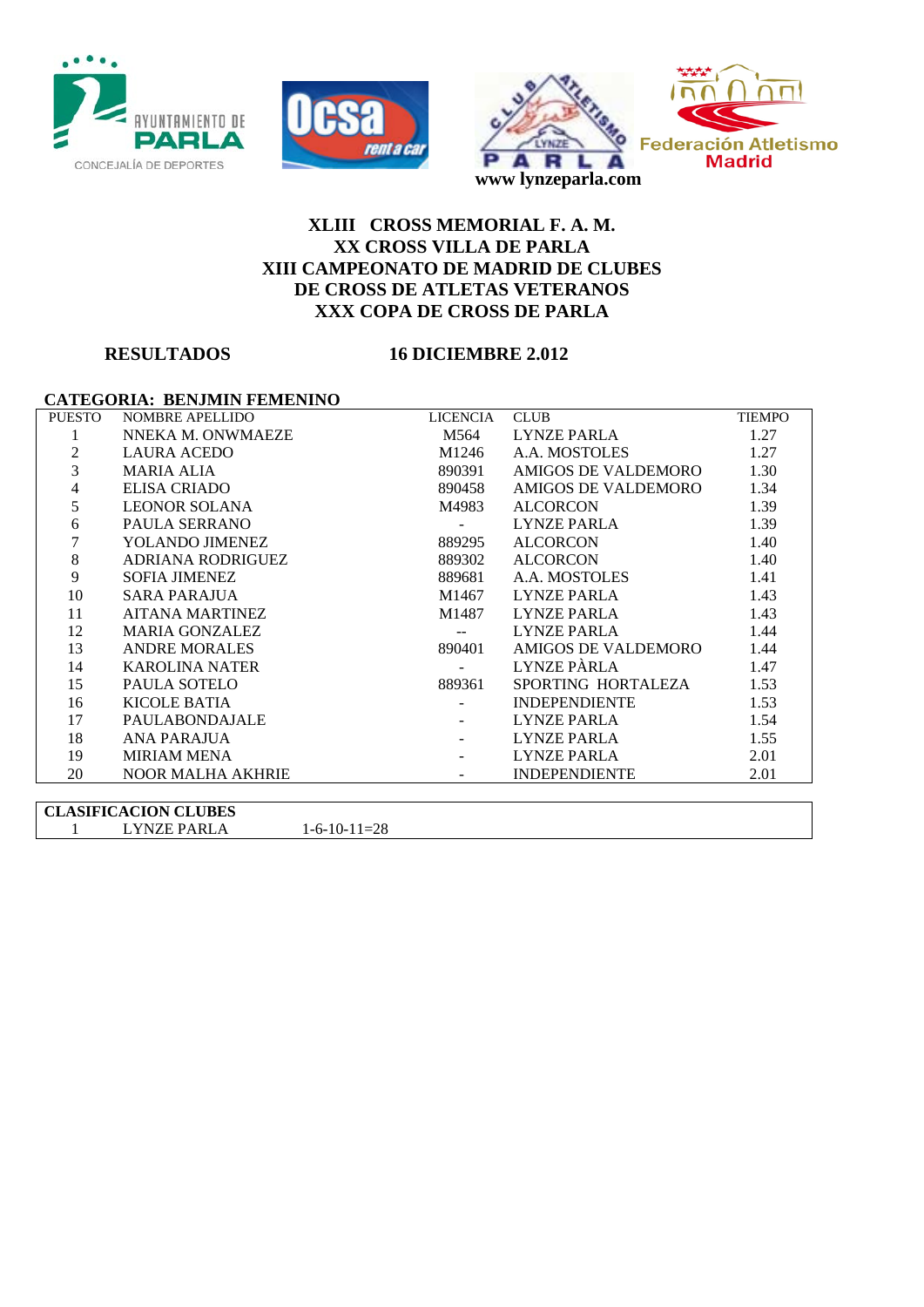





## **XLIII CROSS MEMORIAL F. A. M. XX CROSS VILLA DE PARLA XIII CAMPEONATO DE MADRID DE CLUBES DE CROSS DE ATLETAS VETERANOS XXX COPA DE CROSS DE PARLA**

### **RESULTADOS 16 DICIEMBRE 2.012**

#### **CATEGORIA: BENJMIN FEMENINO**

| <b>PUESTO</b> | <b>NOMBRE APELLIDO</b>   | LICENCIA           | <b>CLUB</b>          | <b>TIEMPO</b> |
|---------------|--------------------------|--------------------|----------------------|---------------|
| 1             | NNEKA M. ONWMAEZE        | M564               | LYNZE PARLA          | 1.27          |
| 2             | <b>LAURA ACEDO</b>       | M1246              | A.A. MOSTOLES        | 1.27          |
| 3             | MARIA ALIA               | 890391             | AMIGOS DE VALDEMORO  | 1.30          |
| 4             | ELISA CRIADO             | 890458             | AMIGOS DE VALDEMORO  | 1.34          |
| 5             | LEONOR SOLANA            | M4983              | ALCORCON             | 1.39          |
| 6             | PAULA SERRANO            | $\Delta \sim 100$  | LYNZE PARLA          | 1.39          |
|               | YOLANDO JIMENEZ          | 889295             | ALCORCON             | 1.40          |
| 8             | ADRIANA RODRIGUEZ        | 889302             | ALCORCON             | 1.40          |
| 9             | SOFIA JIMENEZ            | 889681             | A.A. MOSTOLES        | 1.41          |
| 10            | SARA PARAJUA             | M1467              | LYNZE PARLA          | 1.43          |
| 11            | AITANA MARTINEZ          | M1487              | LYNZE PARLA          | 1.43          |
| 12            | <b>MARIA GONZALEZ</b>    |                    | LYNZE PARLA          | 1.44          |
| 13            | <b>ANDRE MORALES</b>     | 890401             | AMIGOS DE VALDEMORO  | 1.44          |
| 14            | <b>KAROLINA NATER</b>    | $\Delta \sim 10^4$ | LYNZE PÀRLA          | 1.47          |
| 15            | PAULA SOTELO             | 889361             | SPORTING HORTALEZA   | 1.53          |
| 16            | KICOLE BATIA             |                    | <b>INDEPENDIENTE</b> | 1.53          |
| 17            | <b>PAULABONDAJALE</b>    |                    | LYNZE PARLA          | 1.54          |
| 18            | ANA PARAJUA              |                    | LYNZE PARLA          | 1.55          |
| 19            | <b>MIRIAM MENA</b>       |                    | LYNZE PARLA          | 2.01          |
| 20            | <b>NOOR MALHA AKHRIE</b> |                    | <b>INDEPENDIENTE</b> | 2.01          |
|               |                          |                    |                      |               |

**CLASIFICACION CLUBES** LYNZE PARLA 1-6-10-11=28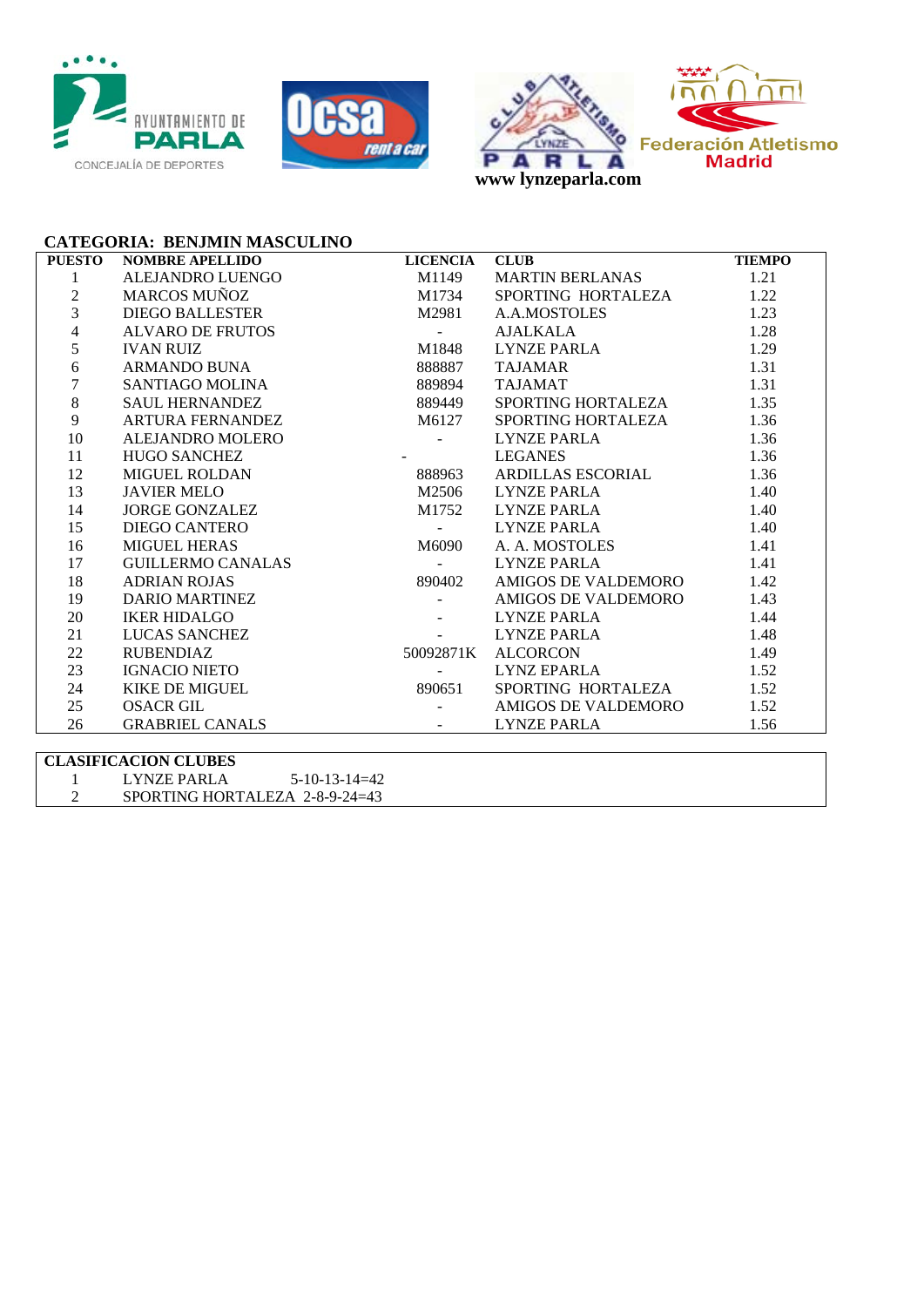





**CATEGORIA: BENJMIN MASCULINO**

| NOWIRRE APELIDO DE EN AMERIO DE EN ANGELANAS CORRE APELIDO BALLESTER MACOS MUNICE MESTER MESTER AN ANISTRO EN ALMOSTOLES (MACOS AN AMERIA AND BURGAND BONNA (SSSSS? TAJAMAR CORRELATA AN ANISO BORNAL SAMANDO BUNA (SSSS) TAJA<br>1<br>$\overline{2}$<br>$\overline{3}$ |  |
|-------------------------------------------------------------------------------------------------------------------------------------------------------------------------------------------------------------------------------------------------------------------------|--|
|                                                                                                                                                                                                                                                                         |  |
|                                                                                                                                                                                                                                                                         |  |
|                                                                                                                                                                                                                                                                         |  |
| $\overline{\mathcal{L}}$                                                                                                                                                                                                                                                |  |
| 5                                                                                                                                                                                                                                                                       |  |
| 6                                                                                                                                                                                                                                                                       |  |
| $\boldsymbol{7}$                                                                                                                                                                                                                                                        |  |
| $8\,$                                                                                                                                                                                                                                                                   |  |
| 9                                                                                                                                                                                                                                                                       |  |
| 10                                                                                                                                                                                                                                                                      |  |
| 11                                                                                                                                                                                                                                                                      |  |
| 12                                                                                                                                                                                                                                                                      |  |
| 13                                                                                                                                                                                                                                                                      |  |
| 14                                                                                                                                                                                                                                                                      |  |
| 15                                                                                                                                                                                                                                                                      |  |
| 16                                                                                                                                                                                                                                                                      |  |
| 17                                                                                                                                                                                                                                                                      |  |
| 18                                                                                                                                                                                                                                                                      |  |
| 19                                                                                                                                                                                                                                                                      |  |
| 20                                                                                                                                                                                                                                                                      |  |
| 21                                                                                                                                                                                                                                                                      |  |
| 22                                                                                                                                                                                                                                                                      |  |
| 23                                                                                                                                                                                                                                                                      |  |
| 24                                                                                                                                                                                                                                                                      |  |
| 25                                                                                                                                                                                                                                                                      |  |
| 26                                                                                                                                                                                                                                                                      |  |

| <b>CLASIFICACION CLUBES</b> |                                |                 |  |  |  |
|-----------------------------|--------------------------------|-----------------|--|--|--|
|                             | LYNZE PARLA                    | $5-10-13-14=42$ |  |  |  |
|                             | SPORTING HORTALEZA 2-8-9-24=43 |                 |  |  |  |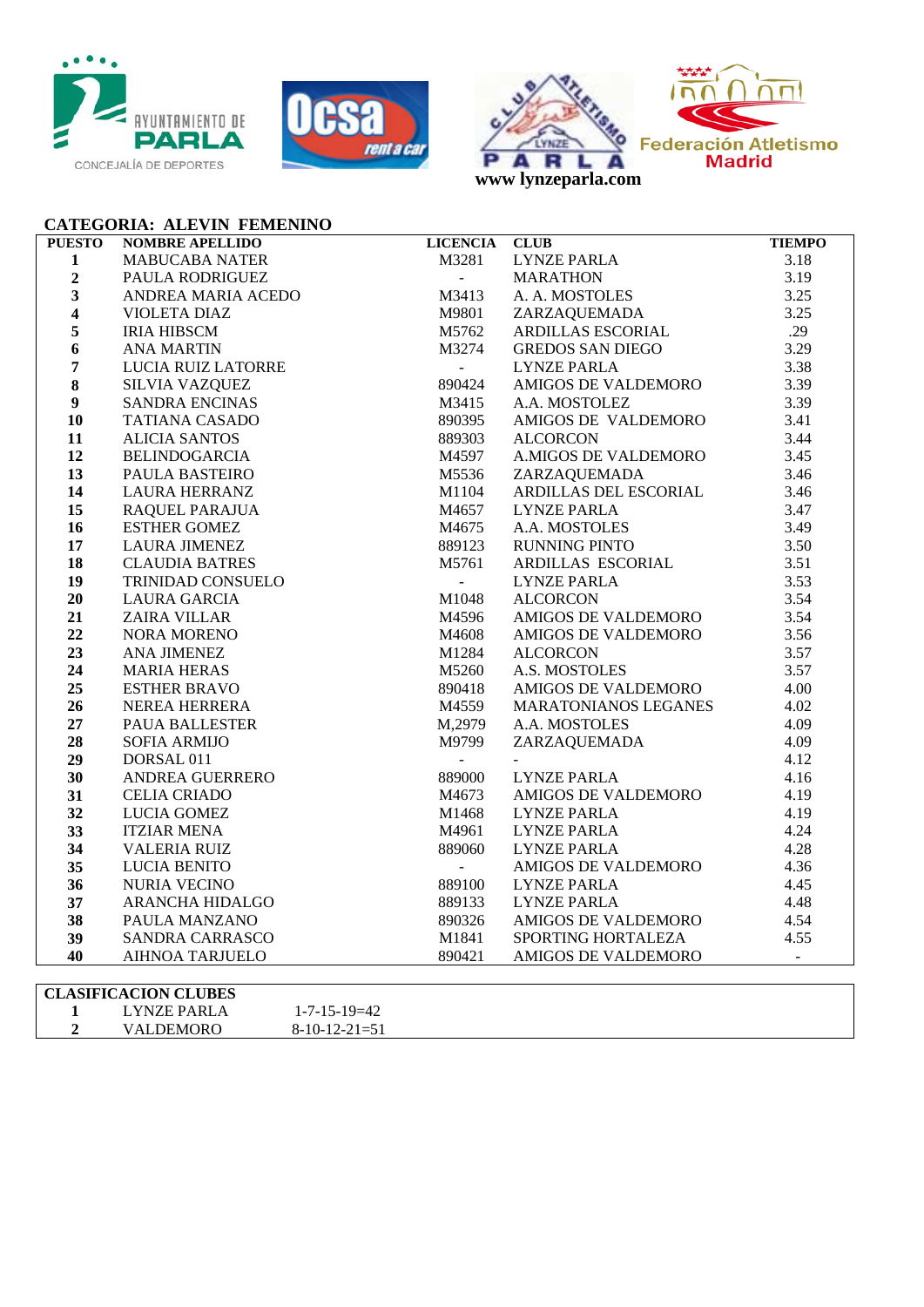





## **CATEGORIA: ALEVIN FEMENINO**

| <b>PUESTO</b>           | <b>NOMBRE APELLIDO</b>      | LICENCIA CLUB       |                                                   | <b>TIEMPO</b> |  |  |  |
|-------------------------|-----------------------------|---------------------|---------------------------------------------------|---------------|--|--|--|
| $\mathbf{1}$            | <b>MABUCABA NATER</b>       | M3281               |                                                   | 3.18          |  |  |  |
| $\boldsymbol{2}$        | PAULA RODRIGUEZ             | $\omega_{\rm{eff}}$ |                                                   | 3.19          |  |  |  |
| $\overline{\mathbf{3}}$ | ANDREA MARIA ACEDO          | M3413               | CLUB<br>LYNZE PARLA<br>MARATHON<br>A. A. MOSTOLES | 3.25          |  |  |  |
| $\overline{\mathbf{4}}$ | <b>VIOLETA DIAZ</b>         | M9801               | ZARZAQUEMADA                                      | 3.25          |  |  |  |
| 5                       | <b>IRIA HIBSCM</b>          | M5762               | ARDILLAS ESCORIAL                                 | .29           |  |  |  |
| 6                       | <b>ANA MARTIN</b>           | M3274               | GREDOS SAN DIEGO                                  | 3.29          |  |  |  |
| $\overline{7}$          | LUCIA RUIZ LATORRE          | $\omega_{\rm{eff}}$ | <b>LYNZE PARLA</b>                                | 3.38          |  |  |  |
| $\bf 8$                 | <b>SILVIA VAZQUEZ</b>       | 890424              | AMIGOS DE VALDEMORO                               | 3.39          |  |  |  |
| $\boldsymbol{9}$        | <b>SANDRA ENCINAS</b>       | M3415               | A.A. MOSTOLEZ                                     | 3.39          |  |  |  |
| 10                      | <b>TATIANA CASADO</b>       | 890395              | AMIGOS DE VALDEMORO                               | 3.41          |  |  |  |
| 11                      | <b>ALICIA SANTOS</b>        | 889303              | <b>ALCORCON</b>                                   | 3.44          |  |  |  |
| 12                      | <b>BELINDOGARCIA</b>        | M4597               | A.MIGOS DE VALDEMORO                              | 3.45          |  |  |  |
| 13                      | PAULA BASTEIRO              | M5536               |                                                   | 3.46          |  |  |  |
| 14                      | <b>LAURA HERRANZ</b>        | M1104               |                                                   | 3.46          |  |  |  |
| 15                      | <b>RAQUEL PARAJUA</b>       | M4657               | ZARZAQUEMADA<br>ARDILLAS DEL ESCORIAL             | 3.47          |  |  |  |
| 16                      | <b>ESTHER GOMEZ</b>         | M4675               | A.A. MOSTOLES                                     | 3.49          |  |  |  |
| 17                      | <b>LAURA JIMENEZ</b>        | 889123              | RUNNING PINTO                                     | 3.50          |  |  |  |
| 18                      | <b>CLAUDIA BATRES</b>       | M5761               | ARDILLAS ESCORIAL                                 | 3.51          |  |  |  |
| 19                      | TRINIDAD CONSUELO           | $\omega_{\rm{max}}$ | <b>LYNZE PARLA</b>                                | 3.53          |  |  |  |
| 20                      | <b>LAURA GARCIA</b>         | M1048               | <b>ALCORCON</b>                                   | 3.54          |  |  |  |
| 21                      | <b>ZAIRA VILLAR</b>         | M4596               | AMIGOS DE VALDEMORO                               | 3.54          |  |  |  |
| 22                      | NORA MORENO                 | M4608               | AMIGOS DE VALDEMORO                               | 3.56          |  |  |  |
| 23                      | <b>ANA JIMENEZ</b>          | M1284               | <b>ALCORCON</b>                                   | 3.57          |  |  |  |
| 24                      | <b>MARIA HERAS</b>          | M5260               | A.S. MOSTOLES                                     | 3.57          |  |  |  |
| 25                      | <b>ESTHER BRAVO</b>         | 890418              | AMIGOS DE VALDEMORO                               | 4.00          |  |  |  |
| 26                      | NEREA HERRERA               | M4559               | MARATONIANOS LEGANES                              | 4.02          |  |  |  |
| 27                      | PAUA BALLESTER              | M,2979              | A.A. MOSTOLES                                     | 4.09          |  |  |  |
| 28                      | <b>SOFIA ARMIJO</b>         | M9799               | ZARZAQUEMADA                                      | 4.09          |  |  |  |
| 29                      | DORSAL 011                  | $\sim$              |                                                   | 4.12          |  |  |  |
| 30                      | ANDREA GUERRERO             | 889000              | <b>LYNZE PARLA</b>                                | 4.16          |  |  |  |
| 31                      | <b>CELIA CRIADO</b>         | M4673               | AMIGOS DE VALDEMORO                               | 4.19          |  |  |  |
| 32                      | LUCIA GOMEZ                 | M1468               | <b>LYNZE PARLA</b>                                | 4.19          |  |  |  |
| 33                      | <b>ITZIAR MENA</b>          | M4961               | <b>LYNZE PARLA</b>                                | 4.24          |  |  |  |
| 34                      | <b>VALERIA RUIZ</b>         | 889060              | <b>LYNZE PARLA</b>                                | 4.28          |  |  |  |
| 35                      | <b>LUCIA BENITO</b>         | $\omega_{\rm{max}}$ | AMIGOS DE VALDEMORO                               | 4.36          |  |  |  |
| 36                      | <b>NURIA VECINO</b>         | 889100              | LYNZE PARLA                                       | 4.45          |  |  |  |
| 37                      | ARANCHA HIDALGO             | 889133              | <b>LYNZE PARLA</b>                                | 4.48          |  |  |  |
| 38                      | PAULA MANZANO               | 890326              | AMIGOS DE VALDEMORO                               | 4.54          |  |  |  |
| 39                      | SANDRA CARRASCO             | M1841               | SPORTING HORTALEZA                                | 4.55          |  |  |  |
| 40                      | <b>AIHNOA TARJUELO</b>      | 890421              | AMIGOS DE VALDEMORO                               | $\sim$ $-$    |  |  |  |
|                         |                             |                     |                                                   |               |  |  |  |
|                         | <b>CLASIFICACION CLUBES</b> |                     |                                                   |               |  |  |  |

|  | <b>LYNZE PARLA</b> | $1 - 7 - 15 - 19 = 42$ |  |
|--|--------------------|------------------------|--|
|  | VALDEMORO          | $8-10-12-21=51$        |  |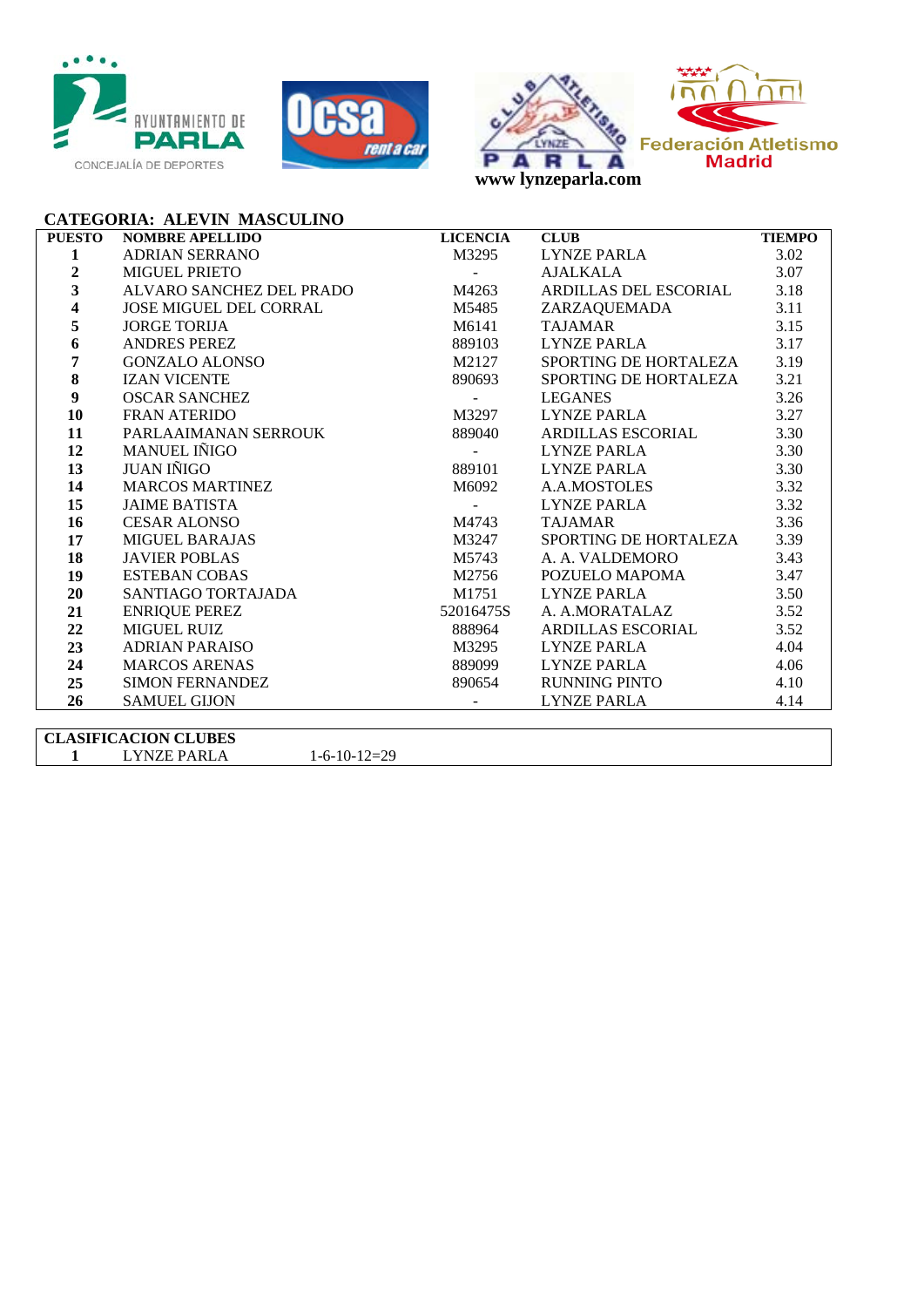





## **CATEGORIA: ALEVIN MASCULINO**

| <b>PUESTO</b>           | <b>NOMBRE APELLIDO</b>        | <b>LICENCIA</b> | <b>CLUB</b>           | <b>TIEMPO</b> |
|-------------------------|-------------------------------|-----------------|-----------------------|---------------|
| 1                       | <b>ADRIAN SERRANO</b>         | M3295           | <b>LYNZE PARLA</b>    | 3.02          |
| $\overline{2}$          | <b>MIGUEL PRIETO</b>          |                 | AJALKALA              | 3.07          |
| $\overline{\mathbf{3}}$ | ALVARO SANCHEZ DEL PRADO      | M4263           | ARDILLAS DEL ESCORIAL | 3.18          |
| $\overline{\mathbf{4}}$ | <b>JOSE MIGUEL DEL CORRAL</b> | M5485           | ZARZAQUEMADA          | 3.11          |
| 5                       | <b>JORGE TORIJA</b>           | M6141           | TAJAMAR               | 3.15          |
| 6                       | ANDRES PEREZ                  | 889103          | LYNZE PARLA           | 3.17          |
| 7                       | GONZALO ALONSO                | M2127           | SPORTING DE HORTALEZA | 3.19          |
| 8                       | <b>IZAN VICENTE</b>           | 890693          | SPORTING DE HORTALEZA | 3.21          |
| 9                       | <b>OSCAR SANCHEZ</b>          |                 | LEGANES               | 3.26          |
| 10                      | FRAN ATERIDO                  | M3297           | LYNZE PARLA           | 3.27          |
| 11                      | PARLAAIMANAN SERROUK          | 889040          | ARDILLAS ESCORIAL     | 3.30          |
| 12                      | <b>MANUEL IÑIGO</b>           | <b>Contract</b> | LYNZE PARLA           | 3.30          |
| 13                      | JUAN IÑIGO                    | 889101          | LYNZE PARLA           | 3.30          |
| 14                      | <b>MARCOS MARTINEZ</b>        | M6092           | A.A.MOSTOLES          | 3.32          |
| 15                      | <b>JAIME BATISTA</b>          | $\sim$ $-$      | LYNZE PARLA           | 3.32          |
| 16                      | <b>CESAR ALONSO</b>           | M4743           | <b>TAJAMAR</b>        | 3.36          |
| 17                      | MIGUEL BARAJAS                | M3247           | SPORTING DE HORTALEZA | 3.39          |
| 18                      | <b>JAVIER POBLAS</b>          | M5743           | A. A. VALDEMORO       | 3.43          |
| 19                      | <b>ESTEBAN COBAS</b>          | M2756           | POZUELO MAPOMA        | 3.47          |
| 20                      | SANTIAGO TORTAJADA            | M1751           | LYNZE PARLA           | 3.50          |
| 21                      | <b>ENRIQUE PEREZ</b>          | 52016475S       | A. A.MORATALAZ        | 3.52          |
| 22                      | MIGUEL RUIZ                   | 888964          | ARDILLAS ESCORIAL     | 3.52          |
| 23                      | ADRIAN PARAISO                | M3295           | LYNZE PARLA           | 4.04          |
| 24                      | <b>MARCOS ARENAS</b>          | 889099          | LYNZE PARLA           | 4.06          |
| 25                      | <b>SIMON FERNANDEZ</b>        | 890654          | RUNNING PINTO         | 4.10          |
| 26                      | <b>SAMUEL GIJON</b>           |                 | <b>LYNZE PARLA</b>    | 4.14          |
|                         |                               |                 |                       |               |

**CLASIFICACION CLUBES** LYNZE PARLA 1-6-10-12=29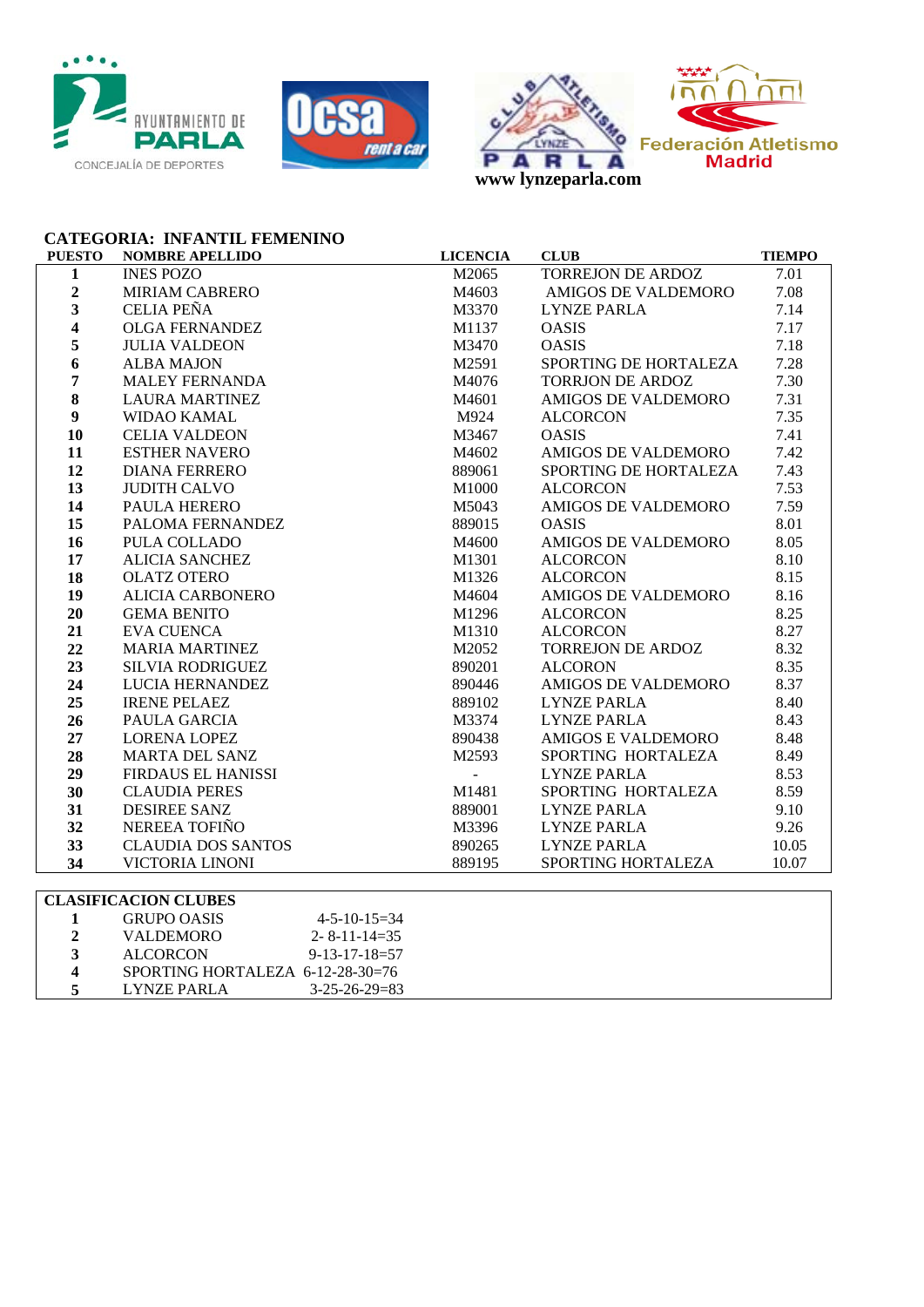





## **CATEGORIA: INFANTIL FEMENINO**

| <b>PUESTO</b>           | <b>NOMBRE APELLIDO</b>      | <b>LICENCIA</b> | <b>CLUB</b>                | <b>TIEMPO</b> |
|-------------------------|-----------------------------|-----------------|----------------------------|---------------|
| $\mathbf{1}$            | <b>INES POZO</b>            | M2065           | TORREJON DE ARDOZ          | 7.01          |
| $\overline{\mathbf{2}}$ | <b>MIRIAM CABRERO</b>       | M4603           | <b>AMIGOS DE VALDEMORO</b> | 7.08          |
| 3                       | <b>CELIA PEÑA</b>           | M3370           | <b>LYNZE PARLA</b>         | 7.14          |
| $\overline{\mathbf{4}}$ | <b>OLGA FERNANDEZ</b>       | M1137           | <b>OASIS</b>               | 7.17          |
| 5                       | <b>JULIA VALDEON</b>        | M3470           | <b>OASIS</b>               | 7.18          |
| 6                       | <b>ALBA MAJON</b>           | M2591           | SPORTING DE HORTALEZA      | 7.28          |
| $\overline{7}$          | <b>MALEY FERNANDA</b>       | M4076           | <b>TORRJON DE ARDOZ</b>    | 7.30          |
| 8                       | <b>LAURA MARTINEZ</b>       | M4601           | AMIGOS DE VALDEMORO        | 7.31          |
| $\boldsymbol{9}$        | WIDAO KAMAL                 | M924            | <b>ALCORCON</b>            | 7.35          |
| 10                      | <b>CELIA VALDEON</b>        | M3467           | <b>OASIS</b>               | 7.41          |
| 11                      | <b>ESTHER NAVERO</b>        | M4602           | <b>AMIGOS DE VALDEMORO</b> | 7.42          |
| 12                      | <b>DIANA FERRERO</b>        | 889061          | SPORTING DE HORTALEZA      | 7.43          |
| 13                      | <b>JUDITH CALVO</b>         | M1000           | <b>ALCORCON</b>            | 7.53          |
| 14                      | PAULA HERERO                | M5043           | <b>AMIGOS DE VALDEMORO</b> | 7.59          |
| 15                      | PALOMA FERNANDEZ            | 889015          | <b>OASIS</b>               | 8.01          |
| 16                      | PULA COLLADO                | M4600           | AMIGOS DE VALDEMORO        | 8.05          |
| 17                      | <b>ALICIA SANCHEZ</b>       | M1301           | <b>ALCORCON</b>            | 8.10          |
| 18                      | <b>OLATZ OTERO</b>          | M1326           | <b>ALCORCON</b>            | 8.15          |
| 19                      | <b>ALICIA CARBONERO</b>     | M4604           | AMIGOS DE VALDEMORO        | 8.16          |
| 20                      | <b>GEMA BENITO</b>          | M1296           | <b>ALCORCON</b>            | 8.25          |
| 21                      | <b>EVA CUENCA</b>           | M1310           | <b>ALCORCON</b>            | 8.27          |
| 22                      | <b>MARIA MARTINEZ</b>       | M2052           | <b>TORREJON DE ARDOZ</b>   | 8.32          |
| 23                      | <b>SILVIA RODRIGUEZ</b>     | 890201          | <b>ALCORON</b>             | 8.35          |
| 24                      | LUCIA HERNANDEZ             | 890446          | <b>AMIGOS DE VALDEMORO</b> | 8.37          |
| 25                      | <b>IRENE PELAEZ</b>         | 889102          | <b>LYNZE PARLA</b>         | 8.40          |
| 26                      | PAULA GARCIA                | M3374           | <b>LYNZE PARLA</b>         | 8.43          |
| 27                      | <b>LORENA LOPEZ</b>         | 890438          | AMIGOS E VALDEMORO         | 8.48          |
| 28                      | <b>MARTA DEL SANZ</b>       | M2593           | SPORTING HORTALEZA         | 8.49          |
| 29                      | <b>FIRDAUS EL HANISSI</b>   | $\overline{a}$  | <b>LYNZE PARLA</b>         | 8.53          |
| 30                      | <b>CLAUDIA PERES</b>        | M1481           | SPORTING HORTALEZA         | 8.59          |
| 31                      | <b>DESIREE SANZ</b>         | 889001          | <b>LYNZE PARLA</b>         | 9.10          |
| 32                      | NEREEA TOFIÑO               | M3396           | <b>LYNZE PARLA</b>         | 9.26          |
| 33                      | <b>CLAUDIA DOS SANTOS</b>   | 890265          | <b>LYNZE PARLA</b>         | 10.05         |
| 34                      | <b>VICTORIA LINONI</b>      | 889195          | SPORTING HORTALEZA         | 10.07         |
|                         |                             |                 |                            |               |
|                         | <b>CLASIFICACION CLIRES</b> |                 |                            |               |

| ULASIFIUAUIUN ULUDES |                                    |  |
|----------------------|------------------------------------|--|
| <b>GRUPO OASIS</b>   | $4 - 5 - 10 - 15 = 34$             |  |
| <b>VALDEMORO</b>     | $2 - 8 - 11 - 14 = 35$             |  |
| <b>ALCORCON</b>      | $9 - 13 - 17 - 18 = 57$            |  |
|                      | SPORTING HORTALEZA $6-12-28-30=76$ |  |
| LYNZE PARLA          | $3 - 25 - 26 - 29 = 83$            |  |
|                      |                                    |  |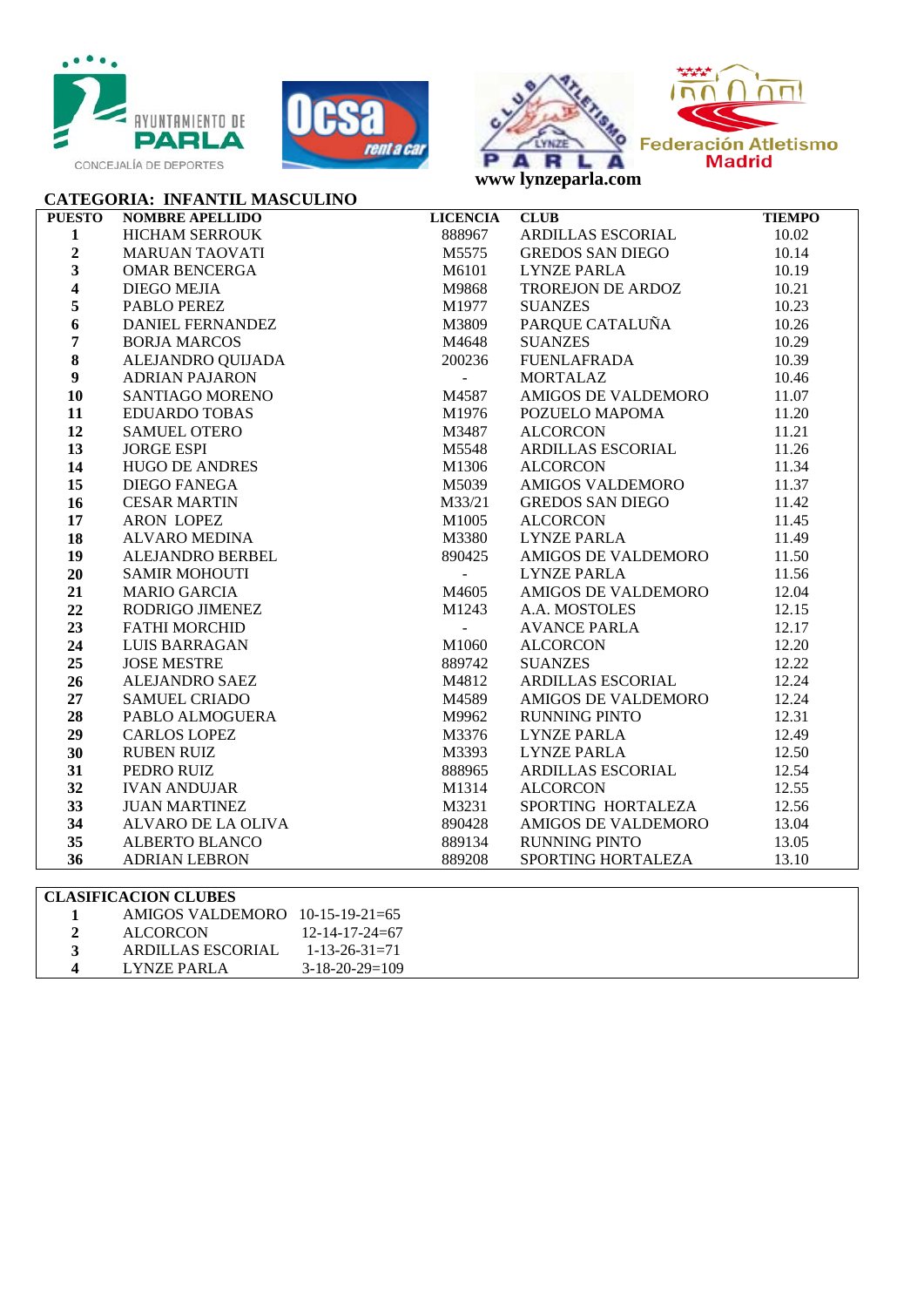







| <b>CATEGORIA: INFANTIL MASCULINO</b><br>$\begin{tabular}{l c c} \multicolumn{1}{c}{\textbf{\emph{S3}}\textbf{S} & \multicolumn{1}{c}{\textbf{\emph{S3}}\textbf{S} & \multicolumn{1}{c}{\textbf{\emph{R}}\textbf{R} & \multicolumn{1}{c}{\textbf{\emph{R}}} & \multicolumn{1}{c}{\textbf{\emph{R}}} & \multicolumn{1}{c}{\textbf{\emph{R}}} & \multicolumn{1}{c}{\textbf{\emph{R}}} & \multicolumn{1}{c}{\textbf{\emph{R}}} & \multicolumn{1}{c}{\textbf{\emph{R}}} & \multicolumn{1}{c}{\textbf{\emph{R$ |                        |                 |                                                                 |               |
|----------------------------------------------------------------------------------------------------------------------------------------------------------------------------------------------------------------------------------------------------------------------------------------------------------------------------------------------------------------------------------------------------------------------------------------------------------------------------------------------------------|------------------------|-----------------|-----------------------------------------------------------------|---------------|
| <b>PUESTO</b>                                                                                                                                                                                                                                                                                                                                                                                                                                                                                            | <b>NOMBRE APELLIDO</b> | <b>LICENCIA</b> | <b>CLUB</b>                                                     | <b>TIEMPO</b> |
| $\mathbf{1}$                                                                                                                                                                                                                                                                                                                                                                                                                                                                                             |                        |                 | <b>ARDILLAS ESCORIAL</b>                                        | 10.02         |
| $\overline{2}$                                                                                                                                                                                                                                                                                                                                                                                                                                                                                           |                        |                 |                                                                 | 10.14         |
| $\overline{\mathbf{3}}$                                                                                                                                                                                                                                                                                                                                                                                                                                                                                  |                        |                 |                                                                 | 10.19         |
| $\overline{\mathbf{4}}$                                                                                                                                                                                                                                                                                                                                                                                                                                                                                  |                        |                 | GREDOS SAN DIEGO<br>LYNZE PARLA<br>TROREJON DE ARDOZ<br>SUANZES | 10.21         |
| 5                                                                                                                                                                                                                                                                                                                                                                                                                                                                                                        |                        |                 | <b>SUANZES</b>                                                  | 10.23         |
| 6                                                                                                                                                                                                                                                                                                                                                                                                                                                                                                        |                        |                 | PARQUE CATALUÑA                                                 | 10.26         |
| $\overline{7}$                                                                                                                                                                                                                                                                                                                                                                                                                                                                                           |                        |                 | SUANZES<br>FUENLAFRADA<br>MODELI                                | 10.29         |
| $\bf{8}$                                                                                                                                                                                                                                                                                                                                                                                                                                                                                                 |                        |                 |                                                                 | 10.39         |
| $\boldsymbol{9}$                                                                                                                                                                                                                                                                                                                                                                                                                                                                                         |                        |                 | <b>MORTALAZ</b>                                                 | 10.46         |
| 10                                                                                                                                                                                                                                                                                                                                                                                                                                                                                                       |                        |                 | AMIGOS DE VALDEMORO                                             | 11.07         |
| 11                                                                                                                                                                                                                                                                                                                                                                                                                                                                                                       |                        |                 | POZUELO MAPOMA                                                  | 11.20         |
| 12                                                                                                                                                                                                                                                                                                                                                                                                                                                                                                       |                        |                 | <b>ALCORCON</b>                                                 | 11.21         |
| 13                                                                                                                                                                                                                                                                                                                                                                                                                                                                                                       |                        |                 | ALCORCON<br>ARDILLAS ESCORIAL                                   | 11.26         |
| 14                                                                                                                                                                                                                                                                                                                                                                                                                                                                                                       |                        |                 | <b>ALCORCON</b>                                                 | 11.34         |
| 15                                                                                                                                                                                                                                                                                                                                                                                                                                                                                                       |                        |                 | ALCORCON<br>AMIGOS VALDEMORO                                    | 11.37         |
| 16                                                                                                                                                                                                                                                                                                                                                                                                                                                                                                       |                        |                 | <b>GREDOS SAN DIEGO</b>                                         | 11.42         |
| 17                                                                                                                                                                                                                                                                                                                                                                                                                                                                                                       |                        |                 | <b>ALCORCON</b>                                                 | 11.45         |
| 18                                                                                                                                                                                                                                                                                                                                                                                                                                                                                                       |                        |                 | LYNZE PARLA                                                     | 11.49         |
| 19                                                                                                                                                                                                                                                                                                                                                                                                                                                                                                       |                        |                 | AMIGOS DE VALDEMORO                                             | 11.50         |
| 20                                                                                                                                                                                                                                                                                                                                                                                                                                                                                                       |                        |                 | LYNZE PARLA                                                     | 11.56         |
| 21                                                                                                                                                                                                                                                                                                                                                                                                                                                                                                       |                        |                 | AMIGOS DE VALDEMORO                                             | 12.04         |
| 22                                                                                                                                                                                                                                                                                                                                                                                                                                                                                                       |                        |                 |                                                                 | 12.15         |
| 23                                                                                                                                                                                                                                                                                                                                                                                                                                                                                                       |                        |                 | ANILOCU ZZ<br>A.A. MOSTOLES<br>AVANCE PARLA<br>ALCORCON         | 12.17         |
| 24                                                                                                                                                                                                                                                                                                                                                                                                                                                                                                       |                        |                 |                                                                 | 12.20         |
| 25                                                                                                                                                                                                                                                                                                                                                                                                                                                                                                       |                        |                 | <b>SUANZES</b>                                                  | 12.22         |
| 26                                                                                                                                                                                                                                                                                                                                                                                                                                                                                                       |                        |                 | ARDILLAS ESCORIAL                                               | 12.24         |
| 27                                                                                                                                                                                                                                                                                                                                                                                                                                                                                                       |                        |                 | AMIGOS DE VALDEMORO                                             | 12.24         |
| 28                                                                                                                                                                                                                                                                                                                                                                                                                                                                                                       |                        |                 | RUNNING PINTO<br>LYNZE PARLA                                    | 12.31         |
| 29                                                                                                                                                                                                                                                                                                                                                                                                                                                                                                       |                        |                 |                                                                 | 12.49         |
| 30                                                                                                                                                                                                                                                                                                                                                                                                                                                                                                       |                        |                 | <b>LYNZE PARLA</b>                                              | 12.50         |
| 31                                                                                                                                                                                                                                                                                                                                                                                                                                                                                                       |                        |                 | ARDILLAS ESCORIAL<br>ALCORCON                                   | 12.54         |
| 32                                                                                                                                                                                                                                                                                                                                                                                                                                                                                                       |                        |                 | <b>ALCORCON</b>                                                 | 12.55         |
| 33                                                                                                                                                                                                                                                                                                                                                                                                                                                                                                       |                        |                 | SPORTING HORTALEZA                                              | 12.56         |
| 34                                                                                                                                                                                                                                                                                                                                                                                                                                                                                                       |                        |                 | AMIGOS DE VALDEMORO                                             | 13.04         |
| 35                                                                                                                                                                                                                                                                                                                                                                                                                                                                                                       |                        |                 | <b>RUNNING PINTO</b>                                            | 13.05         |
| 36                                                                                                                                                                                                                                                                                                                                                                                                                                                                                                       |                        |                 | SPORTING HORTALEZA                                              | 13.10         |

| <b>CLASIFICACION CLUBES</b>       |                          |
|-----------------------------------|--------------------------|
| AMIGOS VALDEMORO $10-15-19-21=65$ |                          |
| <b>ALCORCON</b>                   | $12 - 14 - 17 - 24 = 67$ |
| ARDILLAS ESCORIAL                 | $1 - 13 - 26 - 31 = 71$  |
| LYNZE PARLA                       | $3-18-20-29=109$         |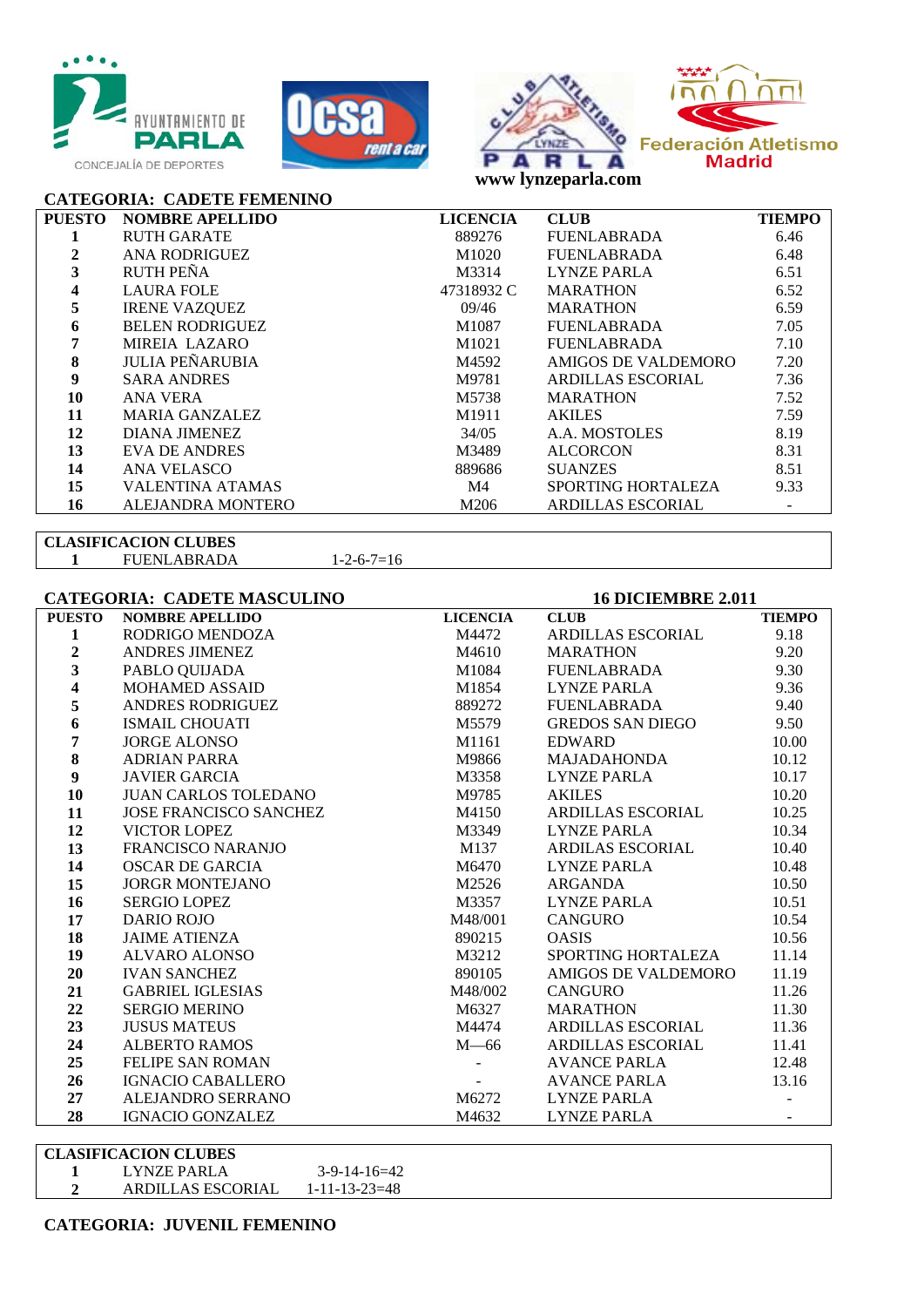





**CATEGORIA: CADETE FEMENINO** 

| <b>PUESTO</b> | <b>NOMBRE APELLIDO</b>   | <b>LICENCIA</b> | <b>CLUB</b>               | <b>TIEMPO</b> |
|---------------|--------------------------|-----------------|---------------------------|---------------|
|               | <b>RUTH GARATE</b>       | 889276          | <b>FUENLABRADA</b>        | 6.46          |
| 2             | <b>ANA RODRIGUEZ</b>     | M1020           | <b>FUENLABRADA</b>        | 6.48          |
| 3             | <b>RUTH PEÑA</b>         | M3314           | <b>LYNZE PARLA</b>        | 6.51          |
|               | <b>LAURA FOLE</b>        | 47318932 C      | <b>MARATHON</b>           | 6.52          |
| 5             | <b>IRENE VAZQUEZ</b>     | 09/46           | <b>MARATHON</b>           | 6.59          |
| 6             | <b>BELEN RODRIGUEZ</b>   | M1087           | <b>FUENLABRADA</b>        | 7.05          |
|               | MIREIA LAZARO            | M1021           | <b>FUENLABRADA</b>        | 7.10          |
| 8             | <b>JULIA PEÑARUBIA</b>   | M4592           | AMIGOS DE VALDEMORO       | 7.20          |
| 9             | <b>SARA ANDRES</b>       | M9781           | ARDILLAS ESCORIAL         | 7.36          |
| 10            | ANA VERA                 | M5738           | <b>MARATHON</b>           | 7.52          |
| 11            | <b>MARIA GANZALEZ</b>    | M1911           | <b>AKILES</b>             | 7.59          |
| 12            | DIANA JIMENEZ            | 34/05           | A.A. MOSTOLES             | 8.19          |
| 13            | EVA DE ANDRES            | M3489           | <b>ALCORCON</b>           | 8.31          |
| 14            | ANA VELASCO              | 889686          | <b>SUANZES</b>            | 8.51          |
| 15            | <b>VALENTINA ATAMAS</b>  | M4              | <b>SPORTING HORTALEZA</b> | 9.33          |
| 16            | <b>ALEJANDRA MONTERO</b> | M206            | <b>ARDILLAS ESCORIAL</b>  |               |

## **CLASIFICACION CLUBES**

FUENLABRADA 1-2-6-7=16

## **CATEGORIA: CADETE MASCULINO 16 DICIEMBRE 2.011**

| <b>PUESTO</b>  | <b>NOMBRE APELLIDO</b>   | <b>LICENCIA</b> | <b>CLUB</b>              | <b>TIEMPO</b> |
|----------------|--------------------------|-----------------|--------------------------|---------------|
| 1              | RODRIGO MENDOZA          | M4472           | <b>ARDILLAS ESCORIAL</b> | 9.18          |
| $\overline{2}$ | ANDRES JIMENEZ           | M4610           | <b>MARATHON</b>          | 9.20          |
| 3              | PABLO QUIJADA            | M1084           | FUENLABRADA              | 9.30          |
| 4              | <b>MOHAMED ASSAID</b>    | M1854           | LYNZE PARLA              | 9.36          |
| 5              | <b>ANDRES RODRIGUEZ</b>  | 889272          | FUENLABRADA              | 9.40          |
| 6              | <b>ISMAIL CHOUATI</b>    | M5579           | GREDOS SAN DIEGO         | 9.50          |
| 7              | <b>JORGE ALONSO</b>      | M1161           | <b>EDWARD</b>            | 10.00         |
| 8              | <b>ADRIAN PARRA</b>      | M9866           | MAJADAHONDA              | 10.12         |
| 9              | <b>JAVIER GARCIA</b>     | M3358           | LYNZE PARLA              | 10.17         |
| 10             | JUAN CARLOS TOLEDANO     | M9785           | <b>AKILES</b>            | 10.20         |
| 11             | JOSE FRANCISCO SANCHEZ   | M4150           | ARDILLAS ESCORIAL        | 10.25         |
| 12             | VICTOR LOPEZ             | M3349           | <b>LYNZE PARLA</b>       | 10.34         |
| 13             | <b>FRANCISCO NARANJO</b> | M137            | ARDILAS ESCORIAL         | 10.40         |
| 14             | <b>OSCAR DE GARCIA</b>   | M6470           | LYNZE PARLA              | 10.48         |
| 15             | <b>JORGR MONTEJANO</b>   | M2526           | ARGANDA                  | 10.50         |
| 16             | <b>SERGIO LOPEZ</b>      | M3357           | LYNZE PARLA              | 10.51         |
| 17             | <b>DARIO ROJO</b>        | M48/001         | <b>CANGURO</b>           | 10.54         |
| 18             | <b>JAIME ATIENZA</b>     | 890215          | <b>OASIS</b>             | 10.56         |
| 19             | <b>ALVARO ALONSO</b>     | M3212           | SPORTING HORTALEZA       | 11.14         |
| 20             | <b>IVAN SANCHEZ</b>      | 890105          | AMIGOS DE VALDEMORO      | 11.19         |
| 21             | <b>GABRIEL IGLESIAS</b>  | M48/002         | CANGURO                  | 11.26         |
| 22             | <b>SERGIO MERINO</b>     | M6327           | MARATHON                 | 11.30         |
| 23             | <b>JUSUS MATEUS</b>      | M4474           | ARDILLAS ESCORIAL        | 11.36         |
| 24             | <b>ALBERTO RAMOS</b>     | $M - 66$        | <b>ARDILLAS ESCORIAL</b> | 11.41         |
| 25             | <b>FELIPE SAN ROMAN</b>  |                 | AVANCE PARLA             | 12.48         |
| 26             | <b>IGNACIO CABALLERO</b> |                 | AVANCE PARLA             | 13.16         |
| 27             | ALEJANDRO SERRANO        | M6272           | <b>LYNZE PARLA</b>       |               |
| 28             | <b>IGNACIO GONZALEZ</b>  | M4632           | <b>LYNZE PARLA</b>       |               |

#### **CLASIFICACION CLUBES**

**1** LYNZE PARLA 3-9-14-16=42<br>**2** ARDILLAS ESCORIAL 1-11-13-23=48 ARDILLAS ESCORIAL 1-11-13-23=48

**CATEGORIA: JUVENIL FEMENINO**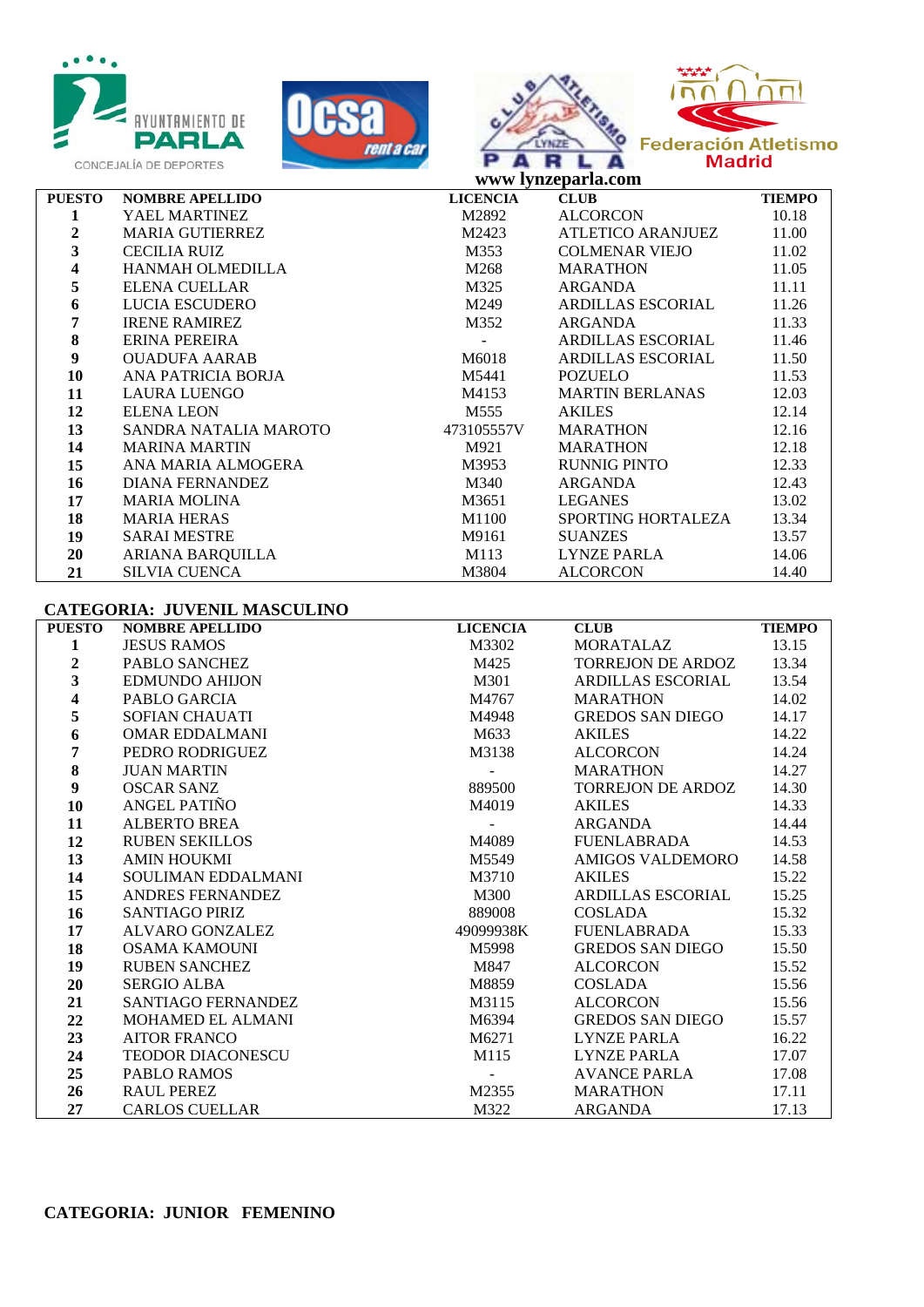







|                | www lynzeparla.com      |                 |                           |               |
|----------------|-------------------------|-----------------|---------------------------|---------------|
| <b>PUESTO</b>  | <b>NOMBRE APELLIDO</b>  | <b>LICENCIA</b> | <b>CLUB</b>               | <b>TIEMPO</b> |
| 1              | YAEL MARTINEZ           | M2892           | <b>ALCORCON</b>           | 10.18         |
| $\overline{2}$ | <b>MARIA GUTIERREZ</b>  | M2423           | ATLETICO ARANJUEZ         | 11.00         |
| 3              | <b>CECILIA RUIZ</b>     | M353            | <b>COLMENAR VIEJO</b>     | 11.02         |
| 4              | <b>HANMAH OLMEDILLA</b> | M268            | <b>MARATHON</b>           | 11.05         |
| 5              | <b>ELENA CUELLAR</b>    | M325            | ARGANDA                   | 11.11         |
| 6              | LUCIA ESCUDERO          | M249            | <b>ARDILLAS ESCORIAL</b>  | 11.26         |
| 7              | <b>IRENE RAMIREZ</b>    | M352            | ARGANDA                   | 11.33         |
| 8              | ERINA PEREIRA           |                 | <b>ARDILLAS ESCORIAL</b>  | 11.46         |
| 9              | <b>OUADUFA AARAB</b>    | M6018           | <b>ARDILLAS ESCORIAL</b>  | 11.50         |
| 10             | ANA PATRICIA BORJA      | M5441           | <b>POZUELO</b>            | 11.53         |
| 11             | <b>LAURA LUENGO</b>     | M4153           | <b>MARTIN BERLANAS</b>    | 12.03         |
| 12             | <b>ELENA LEON</b>       | M555            | <b>AKILES</b>             | 12.14         |
| 13             | SANDRA NATALIA MAROTO   | 473105557V      | <b>MARATHON</b>           | 12.16         |
| 14             | <b>MARINA MARTIN</b>    | M921            | <b>MARATHON</b>           | 12.18         |
| 15             | ANA MARIA ALMOGERA      | M3953           | <b>RUNNIG PINTO</b>       | 12.33         |
| 16             | <b>DIANA FERNANDEZ</b>  | M340            | ARGANDA                   | 12.43         |
| 17             | <b>MARIA MOLINA</b>     | M3651           | <b>LEGANES</b>            | 13.02         |
| 18             | <b>MARIA HERAS</b>      | M1100           | <b>SPORTING HORTALEZA</b> | 13.34         |
| 19             | <b>SARAI MESTRE</b>     | M9161           | <b>SUANZES</b>            | 13.57         |
| 20             | ARIANA BARQUILLA        | M113            | <b>LYNZE PARLA</b>        | 14.06         |
| 21             | <b>SILVIA CUENCA</b>    | M3804           | <b>ALCORCON</b>           | 14.40         |

#### **CATEGORIA: JUVENIL MASCULINO**

| <b>PUESTO</b>           | <b>NOMBRE APELLIDO</b>   | <b>LICENCIA</b>   | CLUB               | <b>TIEMPO</b> |
|-------------------------|--------------------------|-------------------|--------------------|---------------|
| 1                       | <b>JESUS RAMOS</b>       | M3302             | <b>MORATALAZ</b>   | 13.15         |
| $\boldsymbol{2}$        | <b>PABLO SANCHEZ</b>     | M425              | TORREJON DE ARDOZ  | 13.34         |
| $\overline{\mathbf{3}}$ | EDMUNDO AHIJON           | M301              | ARDILLAS ESCORIAL  | 13.54         |
| 4                       | PABLO GARCIA             | M4767             | <b>MARATHON</b>    | 14.02         |
| 5                       | <b>SOFIAN CHAUATI</b>    | M4948             | GREDOS SAN DIEGO   | 14.17         |
| 6                       | <b>OMAR EDDALMANI</b>    | M633              | AKILES             | 14.22         |
| $\overline{7}$          | PEDRO RODRIGUEZ          | M3138             | <b>ALCORCON</b>    | 14.24         |
| 8                       | <b>JUAN MARTIN</b>       |                   | MARATHON           | 14.27         |
| $\boldsymbol{9}$        | <b>OSCAR SANZ</b>        | 889500            | TORREJON DE ARDOZ  | 14.30         |
| 10                      | ANGEL PATIÑO             | M4019             | <b>AKILES</b>      | 14.33         |
| 11                      | <b>ALBERTO BREA</b>      |                   | ARGANDA            | 14.44         |
| 12                      | <b>RUBEN SEKILLOS</b>    | M4089             | FUENLABRADA        | 14.53         |
| 13                      | <b>AMIN HOUKMI</b>       | M5549             | AMIGOS VALDEMORO   | 14.58         |
| 14                      | SOULIMAN EDDALMANI       | M3710             | <b>AKILES</b>      | 15.22         |
| 15                      | ANDRES FERNANDEZ         | M300              | ARDILLAS ESCORIAL  | 15.25         |
| 16                      | <b>SANTIAGO PIRIZ</b>    | 889008            | COSLADA            | 15.32         |
| 17                      | ALVARO GONZALEZ          | 49099938K         | <b>FUENLABRADA</b> | 15.33         |
| 18                      | OSAMA KAMOUNI            | M5998             | GREDOS SAN DIEGO   | 15.50         |
| 19                      | <b>RUBEN SANCHEZ</b>     | M847              | ALCORCON           | 15.52         |
| 20                      | <b>SERGIO ALBA</b>       | M8859             | COSLADA            | 15.56         |
| 21                      | SANTIAGO FERNANDEZ       | M3115             | ALCORCON           | 15.56         |
| 22                      | <b>MOHAMED EL ALMANI</b> | M6394             | GREDOS SAN DIEGO   | 15.57         |
| 23                      | <b>AITOR FRANCO</b>      | M6271             | LYNZE PARLA        | 16.22         |
| 24                      | <b>TEODOR DIACONESCU</b> | M115              | LYNZE PARLA        | 17.07         |
| 25                      | <b>PABLO RAMOS</b>       | $\Delta \sim 100$ | AVANCE PARLA       | 17.08         |
| 26                      | <b>RAUL PEREZ</b>        | M2355             | <b>MARATHON</b>    | 17.11         |
| 27                      | <b>CARLOS CUELLAR</b>    | M322              | ARGANDA            | 17.13         |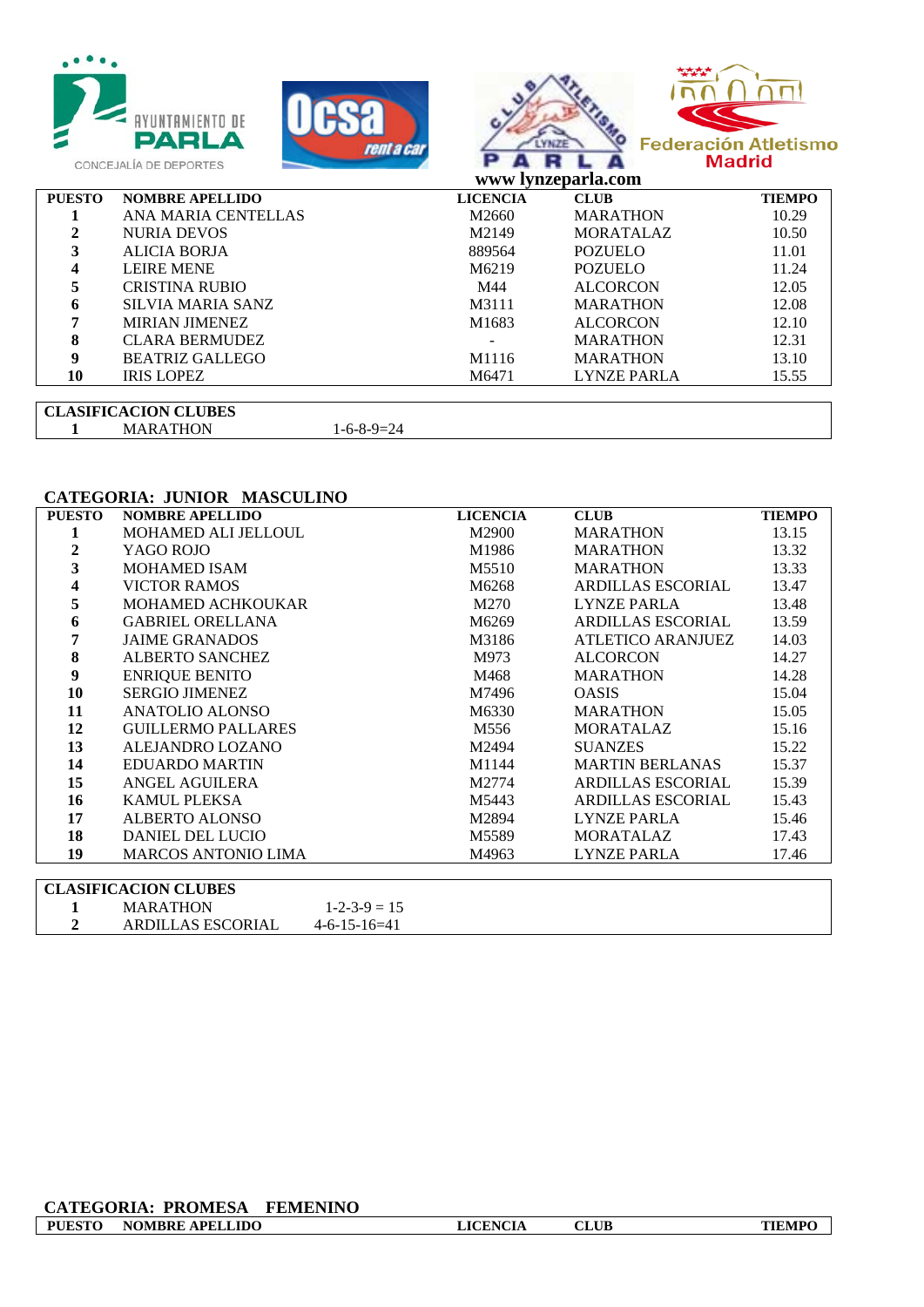|               | <b>AYUNTAMIENTO DE</b><br>PARLA<br>rent a car<br>CONCEJALÍA DE DEPORTES |                 | www lynzeparla.com | <b>Federación Atletismo</b><br><b>Madrid</b> |
|---------------|-------------------------------------------------------------------------|-----------------|--------------------|----------------------------------------------|
| <b>PUESTO</b> | <b>NOMBRE APELLIDO</b>                                                  | <b>LICENCIA</b> | <b>CLUB</b>        | <b>TIEMPO</b>                                |
|               | ANA MARIA CENTELLAS                                                     | M2660           | <b>MARATHON</b>    | 10.29                                        |
| $\mathbf{2}$  | <b>NURIA DEVOS</b>                                                      | M2149           | <b>MORATALAZ</b>   | 10.50                                        |
| 3             | <b>ALICIA BORJA</b>                                                     | 889564          | <b>POZUELO</b>     | 11.01                                        |
| 4             | <b>LEIRE MENE</b>                                                       | M6219           | <b>POZUELO</b>     | 11.24                                        |
| 5             | <b>CRISTINA RUBIO</b>                                                   | M44             | <b>ALCORCON</b>    | 12.05                                        |
| 6             | <b>SILVIA MARIA SANZ</b>                                                | M3111           | <b>MARATHON</b>    | 12.08                                        |
|               | <b>MIRIAN JIMENEZ</b>                                                   | M1683           | <b>ALCORCON</b>    | 12.10                                        |
| 8             | <b>CLARA BERMUDEZ</b>                                                   |                 | <b>MARATHON</b>    | 12.31                                        |
| 9             | <b>BEATRIZ GALLEGO</b>                                                  | M1116           | <b>MARATHON</b>    | 13.10                                        |
| 10            | <b>IRIS LOPEZ</b>                                                       | M6471           | <b>LYNZE PARLA</b> | 15.55                                        |
|               |                                                                         |                 |                    |                                              |

#### **CLASIFICACION CLUBES** MARATHON 1-6-8-9=24

#### **CATEGORIA: JUNIOR MASCULINO**

| <b>PUESTO</b> | <b>NOMBRE APELLIDO</b>     | <b>LICENCIA</b> | <b>CLUB</b>            | <b>TIEMPO</b> |
|---------------|----------------------------|-----------------|------------------------|---------------|
|               | MOHAMED ALI JELLOUL        | M2900           | MARATHON               | 13.15         |
| 2             | YAGO ROJO                  | M1986           | <b>MARATHON</b>        | 13.32         |
| 3             | <b>MOHAMED ISAM</b>        | M5510           | <b>MARATHON</b>        | 13.33         |
| 4             | <b>VICTOR RAMOS</b>        | M6268           | ARDILLAS ESCORIAL      | 13.47         |
| 5             | <b>MOHAMED ACHKOUKAR</b>   | M270            | LYNZE PARLA            | 13.48         |
| 6             | <b>GABRIEL ORELLANA</b>    | M6269           | ARDILLAS ESCORIAL      | 13.59         |
| 7             | <b>JAIME GRANADOS</b>      | M3186           | ATLETICO ARANJUEZ      | 14.03         |
| 8             | ALBERTO SANCHEZ            | M973            | <b>ALCORCON</b>        | 14.27         |
| 9             | <b>ENRIQUE BENITO</b>      | M468            | <b>MARATHON</b>        | 14.28         |
| 10            | <b>SERGIO JIMENEZ</b>      | M7496           | <b>OASIS</b>           | 15.04         |
| 11            | ANATOLIO ALONSO            | M6330           | MARATHON               | 15.05         |
| 12            | <b>GUILLERMO PALLARES</b>  | M556            | <b>MORATALAZ</b>       | 15.16         |
| 13            | ALEJANDRO LOZANO           | M2494           | <b>SUANZES</b>         | 15.22         |
| 14            | <b>EDUARDO MARTIN</b>      | M1144           | <b>MARTIN BERLANAS</b> | 15.37         |
| 15            | ANGEL AGUILERA             | M2774           | ARDILLAS ESCORIAL      | 15.39         |
| 16            | <b>KAMUL PLEKSA</b>        | M5443           | ARDILLAS ESCORIAL      | 15.43         |
| 17            | ALBERTO ALONSO             | M2894           | LYNZE PARLA            | 15.46         |
| 18            | <b>DANIEL DEL LUCIO</b>    | M5589           | <b>MORATALAZ</b>       | 17.43         |
| 19            | <b>MARCOS ANTONIO LIMA</b> | M4963           | LYNZE PARLA            | 17.46         |
|               |                            |                 |                        |               |

| CLASIFICACION CLUBES     |                      |
|--------------------------|----------------------|
| <b>MARATHON</b>          | $1 - 2 - 3 - 9 = 15$ |
| <b>ARDILLAS ESCORIAL</b> | $4-6-15-16=41$       |

#### **CATEGORIA: PROMESA FEMENINO PUESTO NOMBRE APELLIDO LICENCIA CLUB TIEMPO**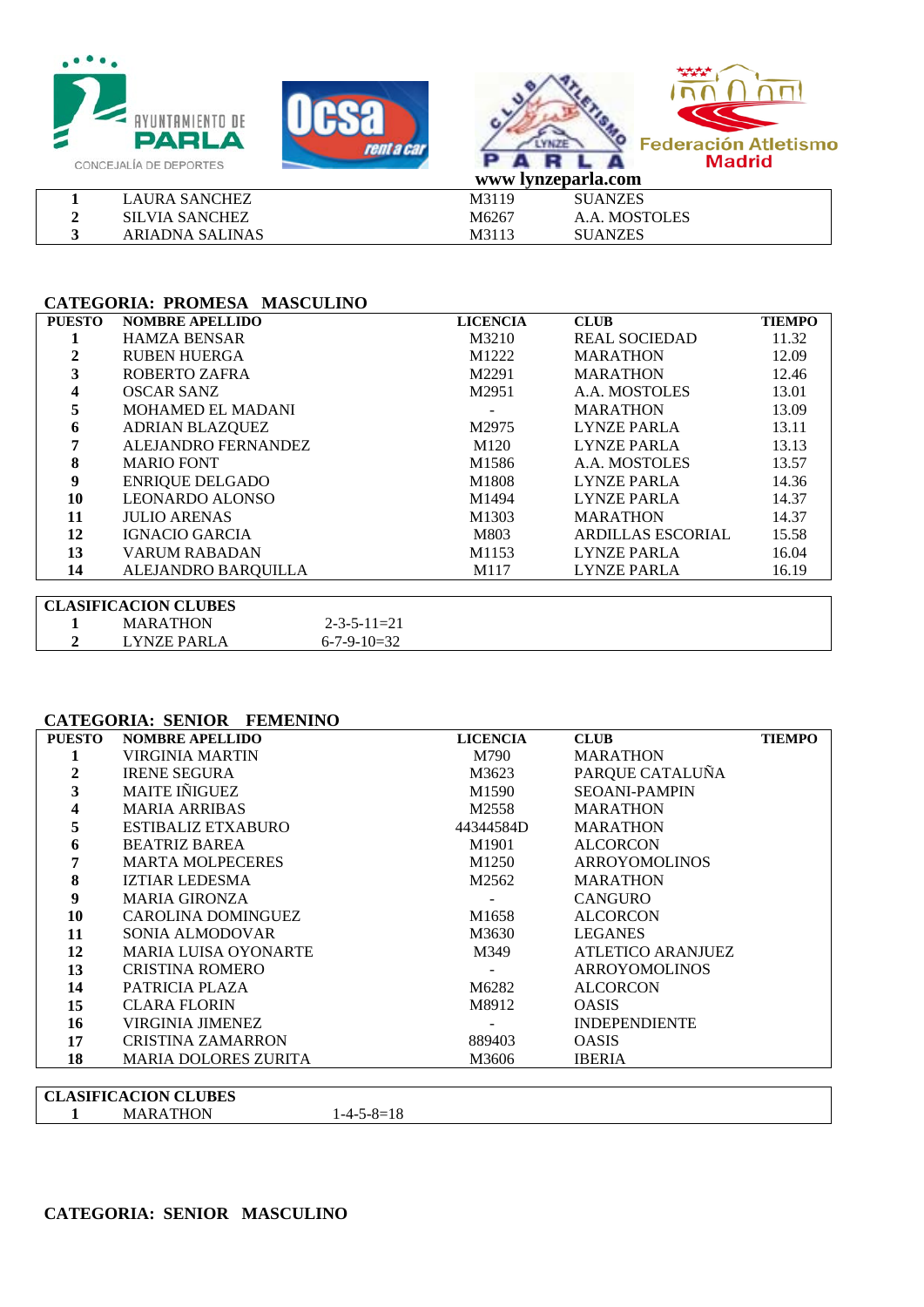





|                       |                   | WWW IVILLEDALIA.COM |
|-----------------------|-------------------|---------------------|
| <b>LAURA SANCHEZ</b>  | M3119             | <b>SUANZES</b>      |
| <b>SILVIA SANCHEZ</b> | M6267             | A.A. MOSTOLES       |
| ARIADNA SALINAS       | M311 <sup>2</sup> | SUANZES             |

#### **CATEGORIA: PROMESA MASCULINO**

| <b>PUESTO</b> | <b>NOMBRE APELLIDO</b>      | <b>LICENCIA</b>   | <b>CLUB</b>              | <b>TIEMPO</b> |
|---------------|-----------------------------|-------------------|--------------------------|---------------|
|               | <b>HAMZA BENSAR</b>         | M3210             | <b>REAL SOCIEDAD</b>     | 11.32         |
|               | <b>RUBEN HUERGA</b>         | M1222             | <b>MARATHON</b>          | 12.09         |
| 3             | ROBERTO ZAFRA               | M2291             | <b>MARATHON</b>          | 12.46         |
| 4             | <b>OSCAR SANZ</b>           | M2951             | A.A. MOSTOLES            | 13.01         |
| 5             | <b>MOHAMED EL MADANI</b>    |                   | <b>MARATHON</b>          | 13.09         |
| 6             | <b>ADRIAN BLAZQUEZ</b>      | M2975             | LYNZE PARLA              | 13.11         |
|               | ALEJANDRO FERNANDEZ         | M <sub>120</sub>  | LYNZE PARLA              | 13.13         |
| 8             | <b>MARIO FONT</b>           | M <sub>1586</sub> | A.A. MOSTOLES            | 13.57         |
| 9             | <b>ENRIQUE DELGADO</b>      | M1808             | LYNZE PARLA              | 14.36         |
| 10            | <b>LEONARDO ALONSO</b>      | M1494             | LYNZE PARLA              | 14.37         |
| 11            | <b>JULIO ARENAS</b>         | M1303             | <b>MARATHON</b>          | 14.37         |
| 12            | <b>IGNACIO GARCIA</b>       | M803              | <b>ARDILLAS ESCORIAL</b> | 15.58         |
| 13            | <b>VARUM RABADAN</b>        | M1153             | LYNZE PARLA              | 16.04         |
| 14            | ALEJANDRO BARQUILLA         | M117              | <b>LYNZE PARLA</b>       | 16.19         |
|               |                             |                   |                          |               |
|               | <b>CLASIFICACION CLUBES</b> |                   |                          |               |

| <b>CLASIFICACION CLUBES</b> |                 |                       |  |  |
|-----------------------------|-----------------|-----------------------|--|--|
|                             | <b>MARATHON</b> | $2 - 3 - 5 - 11 = 21$ |  |  |
|                             | LYNZE PARLA     | $6 - 7 - 9 - 10 = 32$ |  |  |

#### **CATEGORIA: SENIOR FEMENINO**

| <b>PUESTO</b> | <b>NOMBRE APELLIDO</b>      | <b>LICENCIA</b> | <b>CLUB</b>          | <b>TIEMPO</b> |
|---------------|-----------------------------|-----------------|----------------------|---------------|
|               | VIRGINIA MARTIN             | M790            | <b>MARATHON</b>      |               |
|               | <b>IRENE SEGURA</b>         | M3623           | PARQUE CATALUÑA      |               |
|               | <b>MAITE INIGUEZ</b>        | M1590           | <b>SEOANI-PAMPIN</b> |               |
|               | <b>MARIA ARRIBAS</b>        | M2558           | <b>MARATHON</b>      |               |
|               | ESTIBALIZ ETXABURO          | 44344584D       | <b>MARATHON</b>      |               |
| 6             | <b>BEATRIZ BAREA</b>        | M1901           | <b>ALCORCON</b>      |               |
|               | <b>MARTA MOLPECERES</b>     | M1250           | <b>ARROYOMOLINOS</b> |               |
| 8             | <b>IZTIAR LEDESMA</b>       | M2562           | <b>MARATHON</b>      |               |
| 9             | <b>MARIA GIRONZA</b>        |                 | <b>CANGURO</b>       |               |
| 10            | CAROLINA DOMINGUEZ          | M1658           | <b>ALCORCON</b>      |               |
| 11            | SONIA ALMODOVAR             | M3630           | <b>LEGANES</b>       |               |
| 12            | <b>MARIA LUISA OYONARTE</b> | M349            | ATLETICO ARANJUEZ    |               |
| 13            | <b>CRISTINA ROMERO</b>      |                 | <b>ARROYOMOLINOS</b> |               |
| 14            | PATRICIA PLAZA              | M6282           | <b>ALCORCON</b>      |               |
| 15            | <b>CLARA FLORIN</b>         | M8912           | <b>OASIS</b>         |               |
| 16            | <b>VIRGINIA JIMENEZ</b>     |                 | <b>INDEPENDIENTE</b> |               |
| 17            | <b>CRISTINA ZAMARRON</b>    | 889403          | <b>OASIS</b>         |               |
| 18            | <b>MARIA DOLORES ZURITA</b> | M3606           | <b>IBERIA</b>        |               |
|               |                             |                 |                      |               |

| <b>CL</b><br>$\Delta$ | <b>ASIFICACION CLUBES</b> |                                                                                |  |
|-----------------------|---------------------------|--------------------------------------------------------------------------------|--|
|                       | א∩F<br>MAR<br>14 L        | 1 <sup>C</sup><br>$\mathsf{v}-$<br>,⊶o≔⊥o<br>1-4-.<br>$\overline{\phantom{a}}$ |  |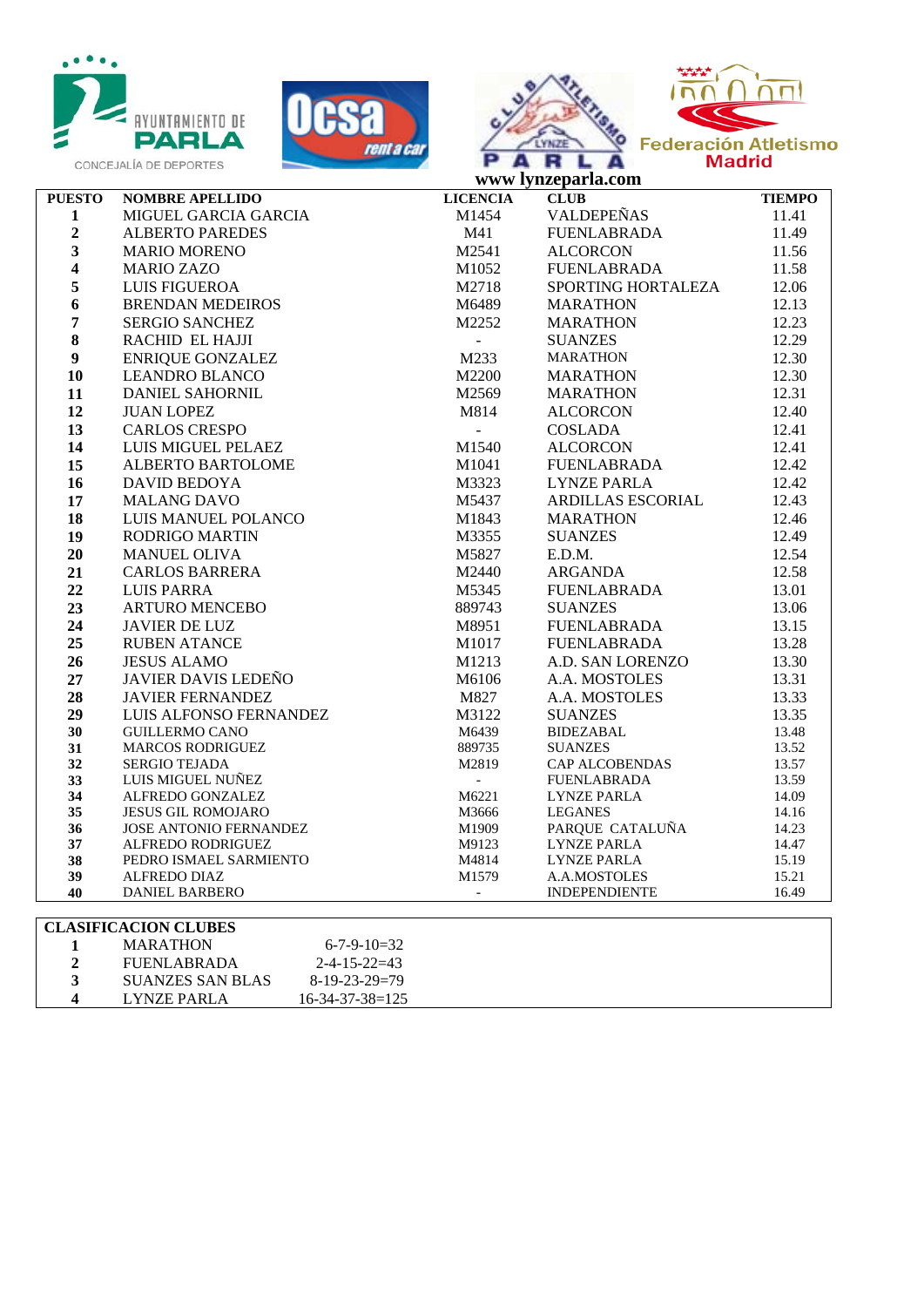

LYNZE PARLA 16-34-37-38=125







|                         | www lynzeparla.com                                  |                          |                        |                |  |
|-------------------------|-----------------------------------------------------|--------------------------|------------------------|----------------|--|
| <b>PUESTO</b>           | <b>NOMBRE APELLIDO</b>                              | <b>LICENCIA</b>          | <b>CLUB</b>            | <b>TIEMPO</b>  |  |
| $\mathbf{1}$            | MIGUEL GARCIA GARCIA                                | M1454                    | <b>VALDEPEÑAS</b>      | 11.41          |  |
| $\mathbf 2$             | <b>ALBERTO PAREDES</b>                              | M41                      | FUENLABRADA            | 11.49          |  |
| $\mathbf{3}$            | <b>MARIO MORENO</b>                                 | M2541                    | <b>ALCORCON</b>        | 11.56          |  |
| $\boldsymbol{4}$        | <b>MARIO ZAZO</b>                                   | M1052                    | FUENLABRADA            | 11.58          |  |
| 5                       | LUIS FIGUEROA                                       | M2718                    | SPORTING HORTALEZA     | 12.06          |  |
| 6                       | <b>BRENDAN MEDEIROS</b>                             | M6489                    | <b>MARATHON</b>        | 12.13          |  |
| $\overline{7}$          | <b>SERGIO SANCHEZ</b>                               | M2252                    | <b>MARATHON</b>        | 12.23          |  |
| $\bf 8$                 | RACHID EL HAJJI                                     | $\overline{\phantom{a}}$ | <b>SUANZES</b>         | 12.29          |  |
| $\boldsymbol{9}$        | <b>ENRIQUE GONZALEZ</b>                             | M233                     | MARATHON               | 12.30          |  |
| 10                      | <b>LEANDRO BLANCO</b>                               | M2200                    | MARATHON               | 12.30          |  |
| 11                      | <b>DANIEL SAHORNIL</b>                              | M2569                    | MARATHON               | 12.31          |  |
| 12                      | <b>JUAN LOPEZ</b>                                   | M814                     | ALCORCON               | 12.40          |  |
| 13                      | <b>CARLOS CRESPO</b>                                | $\equiv$                 | COSLADA                | 12.41          |  |
| 14                      | LUIS MIGUEL PELAEZ                                  | M1540                    | <b>ALCORCON</b>        | 12.41          |  |
| 15                      | <b>ALBERTO BARTOLOME</b>                            | M1041                    | FUENLABRADA            | 12.42          |  |
| 16                      | DAVID BEDOYA                                        | M3323                    | <b>LYNZE PARLA</b>     | 12.42          |  |
| 17                      | <b>MALANG DAVO</b>                                  | M5437                    | ARDILLAS ESCORIAL      | 12.43          |  |
| 18                      | LUIS MANUEL POLANCO                                 | M1843                    | <b>MARATHON</b>        | 12.46          |  |
| 19                      | RODRIGO MARTIN                                      | M3355                    | <b>SUANZES</b>         | 12.49          |  |
| 20                      | <b>MANUEL OLIVA</b>                                 | M5827                    | E.D.M.                 | 12.54          |  |
| 21                      | <b>CARLOS BARRERA</b>                               | M2440                    | ARGANDA                | 12.58          |  |
| 22                      | <b>LUIS PARRA</b>                                   | M5345                    | <b>FUENLABRADA</b>     | 13.01          |  |
| 23                      | <b>ARTURO MENCEBO</b>                               | 889743                   | <b>SUANZES</b>         | 13.06          |  |
| 24                      | <b>JAVIER DE LUZ</b>                                | M8951                    | FUENLABRADA            | 13.15          |  |
| 25                      | <b>RUBEN ATANCE</b>                                 | M1017                    | <b>FUENLABRADA</b>     | 13.28          |  |
| 26                      | <b>JESUS ALAMO</b>                                  | M1213                    | A.D. SAN LORENZO       | 13.30          |  |
| 27                      | <b>JAVIER DAVIS LEDEÑO</b>                          | M6106                    | A.A. MOSTOLES          | 13.31          |  |
| 28                      | <b>JAVIER FERNANDEZ</b>                             | M827                     | A.A. MOSTOLES          | 13.33          |  |
| 29                      | LUIS ALFONSO FERNANDEZ                              | M3122                    | <b>SUANZES</b>         | 13.35          |  |
| 30                      | <b>GUILLERMO CANO</b>                               | M6439                    | BIDEZABAL              | 13.48          |  |
| 31                      | <b>MARCOS RODRIGUEZ</b>                             | 889735                   | <b>SUANZES</b>         | 13.52          |  |
| 32                      | <b>SERGIO TEJADA</b>                                | M2819                    | CAP ALCOBENDAS         | 13.57          |  |
| 33                      | LUIS MIGUEL NUÑEZ                                   | $\mathbb{L}$             | FUENLABRADA            | 13.59          |  |
| 34<br>35                | ALFREDO GONZALEZ                                    | M6221                    | LYNZE PARLA<br>LEGANES | 14.09          |  |
| 36                      | JESUS GIL ROMOJARO<br><b>JOSE ANTONIO FERNANDEZ</b> | M3666<br>M1909           | PARQUE CATALUÑA        | 14.16<br>14.23 |  |
| 37                      | ALFREDO RODRIGUEZ                                   | M9123                    | <b>LYNZE PARLA</b>     | 14.47          |  |
| 38                      | PEDRO ISMAEL SARMIENTO                              | M4814                    | LYNZE PARLA            | 15.19          |  |
| 39                      | ALFREDO DIAZ                                        | M1579                    | A.A.MOSTOLES           | 15.21          |  |
| 40                      | <b>DANIEL BARBERO</b>                               | $\overline{\phantom{a}}$ | <b>INDEPENDIENTE</b>   | 16.49          |  |
|                         |                                                     |                          |                        |                |  |
|                         | <b>CLASIFICACION CLUBES</b>                         |                          |                        |                |  |
| 1                       | <b>MARATHON</b><br>$6 - 7 - 9 - 10 = 32$            |                          |                        |                |  |
| $\overline{2}$          | <b>FUENLABRADA</b><br>$2 - 4 - 15 - 22 = 43$        |                          |                        |                |  |
| $\overline{\mathbf{3}}$ | <b>SUANZES SAN BLAS</b><br>$8-19-23-29=79$          |                          |                        |                |  |